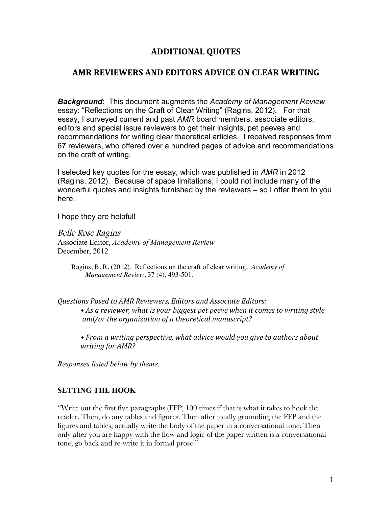# **ADDITIONAL(QUOTES**

### **AMR REVIEWERS AND EDITORS ADVICE ON CLEAR WRITING**

*Background*: This document augments the *Academy of Management Review*  essay: "Reflections on the Craft of Clear Writing" (Ragins, 2012). For that essay, I surveyed current and past *AMR* board members, associate editors, editors and special issue reviewers to get their insights, pet peeves and recommendations for writing clear theoretical articles. I received responses from 67 reviewers, who offered over a hundred pages of advice and recommendations on the craft of writing.

I selected key quotes for the essay, which was published in *AMR* in 2012 (Ragins, 2012). Because of space limitations, I could not include many of the wonderful quotes and insights furnished by the reviewers – so I offer them to you here.

I hope they are helpful!

Belle Rose Ragins Associate Editor, *Academy of Management Review* December, 2012

Ragins, B. R. (2012). Reflections on the craft of clear writing. *Academy of Management Review*, 37 (4), 493-501.

*Questions)Posed)to)AMR)Reviewers,)Editors)and)Associate)Editors:)* • As a reviewer, what is your biggest pet peeve when it comes to writing style and/or the organization of a theoretical manuscript?

• From a writing perspective, what advice would you give to authors about *writing for AMR?* 

*Responses listed below by theme.*

#### **SETTING THE HOOK**

"Write out the first five paragraphs (FFP) 100 times if that is what it takes to hook the reader. Then, do any tables and figures. Then after totally grounding the FFP and the figures and tables, actually write the body of the paper in a conversational tone. Then only after you are happy with the flow and logic of the paper written is a conversational tone, go back and re-write it in formal prose."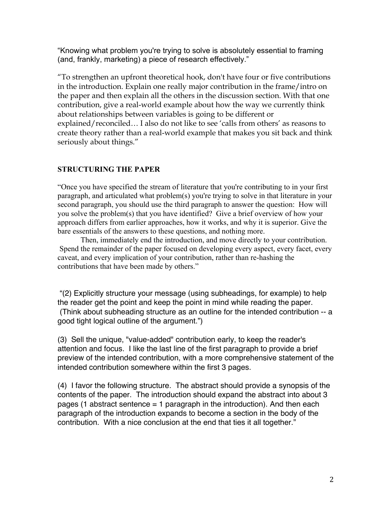"Knowing what problem you're trying to solve is absolutely essential to framing (and, frankly, marketing) a piece of research effectively."

"To strengthen an upfront theoretical hook, don't have four or five contributions in the introduction. Explain one really major contribution in the frame/intro on the paper and then explain all the others in the discussion section. With that one contribution, give a real-world example about how the way we currently think about relationships between variables is going to be different or explained/reconciled… I also do not like to see 'calls from others' as reasons to create theory rather than a real-world example that makes you sit back and think seriously about things."

# **STRUCTURING THE PAPER**

"Once you have specified the stream of literature that you're contributing to in your first paragraph, and articulated what problem(s) you're trying to solve in that literature in your second paragraph, you should use the third paragraph to answer the question: How will you solve the problem(s) that you have identified? Give a brief overview of how your approach differs from earlier approaches, how it works, and why it is superior. Give the bare essentials of the answers to these questions, and nothing more.

Then, immediately end the introduction, and move directly to your contribution. Spend the remainder of the paper focused on developing every aspect, every facet, every caveat, and every implication of your contribution, rather than re-hashing the contributions that have been made by others."

 "(2) Explicitly structure your message (using subheadings, for example) to help the reader get the point and keep the point in mind while reading the paper. (Think about subheading structure as an outline for the intended contribution -- a good tight logical outline of the argument.")

(3) Sell the unique, "value-added" contribution early, to keep the reader's attention and focus. I like the last line of the first paragraph to provide a brief preview of the intended contribution, with a more comprehensive statement of the intended contribution somewhere within the first 3 pages.

(4) I favor the following structure. The abstract should provide a synopsis of the contents of the paper. The introduction should expand the abstract into about 3 pages (1 abstract sentence  $= 1$  paragraph in the introduction). And then each paragraph of the introduction expands to become a section in the body of the contribution. With a nice conclusion at the end that ties it all together."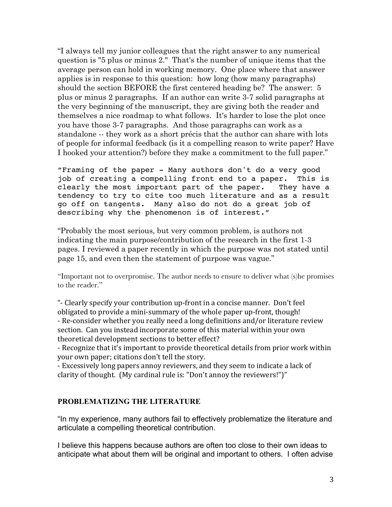"I always tell my junior colleagues that the right answer to any numerical question is "5 plus or minus 2." That's the number of unique items that the average person can hold in working memory. One place where that answer applies is in response to this question: how long (how many paragraphs) should the section BEFORE the first centered heading be? The answer: 5 plus or minus 2 paragraphs. If an author can write 3-7 solid paragraphs at the very beginning of the manuscript, they are giving both the reader and themselves a nice roadmap to what follows. It's harder to lose the plot once you have those 3-7 paragraphs. And those paragraphs can work as a standalone -- they work as a short précis that the author can share with lots of people for informal feedback (is it a compelling reason to write paper? Have I hooked your attention?) before they make a commitment to the full paper."

"Framing of the paper - Many authors don't do a very good job of creating a compelling front end to a paper. This is clearly the most important part of the paper. They have a tendency to try to cite too much literature and as a result go off on tangents. Many also do not do a great job of describing why the phenomenon is of interest."

"Probably the most serious, but very common problem, is authors not indicating the main purpose/contribution of the research in the first 1-3 pages. I reviewed a paper recently in which the purpose was not stated until page 15, and even then the statement of purpose was vague."

"Important not to overpromise. The author needs to ensure to deliver what (s)he promises to the reader."

"- Clearly specify your contribution up-front in a concise manner. Don't feel obligated to provide a mini-summary of the whole paper up-front, though! - Re-consider whether you really need a long definitions and/or literature review section. Can you instead incorporate some of this material within your own theoretical development sections to better effect?

- Recognize that it's important to provide theoretical details from prior work within your own paper; citations don't tell the story.

- Excessively long papers annoy reviewers, and they seem to indicate a lack of clarity of thought. (My cardinal rule is: "Don't annoy the reviewers!")"

### **PROBLEMATIZING THE LITERATURE**

"In my experience, many authors fail to effectively problematize the literature and articulate a compelling theoretical contribution.

I believe this happens because authors are often too close to their own ideas to anticipate what about them will be original and important to others. I often advise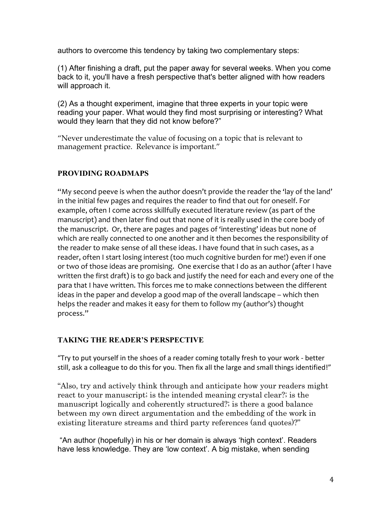authors to overcome this tendency by taking two complementary steps:

(1) After finishing a draft, put the paper away for several weeks. When you come back to it, you'll have a fresh perspective that's better aligned with how readers will approach it.

(2) As a thought experiment, imagine that three experts in your topic were reading your paper. What would they find most surprising or interesting? What would they learn that they did not know before?"

"Never underestimate the value of focusing on a topic that is relevant to management practice. Relevance is important."

# **PROVIDING ROADMAPS**

"My second peeve is when the author doesn't provide the reader the 'lay of the land' in the initial few pages and requires the reader to find that out for oneself. For example, often I come across skillfully executed literature review (as part of the manuscript) and then later find out that none of it is really used in the core body of the manuscript. Or, there are pages and pages of 'interesting' ideas but none of which are really connected to one another and it then becomes the responsibility of the reader to make sense of all these ideas. I have found that in such cases, as a reader, often I start losing interest (too much cognitive burden for me!) even if one or two of those ideas are promising. One exercise that I do as an author (after I have written the first draft) is to go back and justify the need for each and every one of the para that I have written. This forces me to make connections between the different ideas in the paper and develop a good map of the overall landscape – which then helps the reader and makes it easy for them to follow my (author's) thought process."

# **TAKING THE READER'S PERSPECTIVE**

"Try to put yourself in the shoes of a reader coming totally fresh to your work - better still, ask a colleague to do this for you. Then fix all the large and small things identified!"

"Also, try and actively think through and anticipate how your readers might react to your manuscript; is the intended meaning crystal clear?; is the manuscript logically and coherently structured?; is there a good balance between my own direct argumentation and the embedding of the work in existing literature streams and third party references (and quotes)?"

"An author (hopefully) in his or her domain is always 'high context'. Readers have less knowledge. They are 'low context'. A big mistake, when sending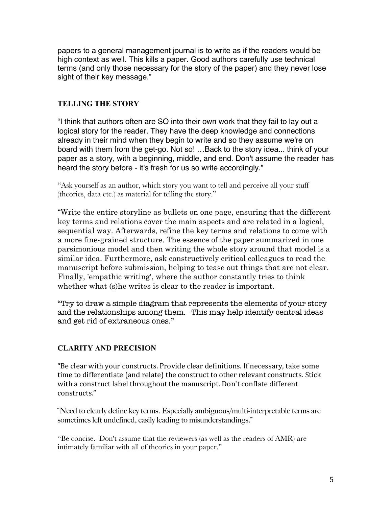papers to a general management journal is to write as if the readers would be high context as well. This kills a paper. Good authors carefully use technical terms (and only those necessary for the story of the paper) and they never lose sight of their key message."

# **TELLING THE STORY**

"I think that authors often are SO into their own work that they fail to lay out a logical story for the reader. They have the deep knowledge and connections already in their mind when they begin to write and so they assume we're on board with them from the get-go. Not so! …Back to the story idea... think of your paper as a story, with a beginning, middle, and end. Don't assume the reader has heard the story before - it's fresh for us so write accordingly."

"Ask yourself as an author, which story you want to tell and perceive all your stuff (theories, data etc.) as material for telling the story."

"Write the entire storyline as bullets on one page, ensuring that the different key terms and relations cover the main aspects and are related in a logical, sequential way. Afterwards, refine the key terms and relations to come with a more fine-grained structure. The essence of the paper summarized in one parsimonious model and then writing the whole story around that model is a similar idea. Furthermore, ask constructively critical colleagues to read the manuscript before submission, helping to tease out things that are not clear. Finally, 'empathic writing', where the author constantly tries to think whether what (s) he writes is clear to the reader is important.

"Try to draw a simple diagram that represents the elements of your story and the relationships among them. This may help identify central ideas and get rid of extraneous ones."

# **CLARITY AND PRECISION**

"Be clear with your constructs. Provide clear definitions. If necessary, take some time to differentiate (and relate) the construct to other relevant constructs. Stick with a construct label throughout the manuscript. Don't conflate different constructs."

"Need to clearly define key terms. Especially ambiguous/multi-interpretable terms are sometimes left undefined, easily leading to misunderstandings."

"Be concise. Don't assume that the reviewers (as well as the readers of AMR) are intimately familiar with all of theories in your paper."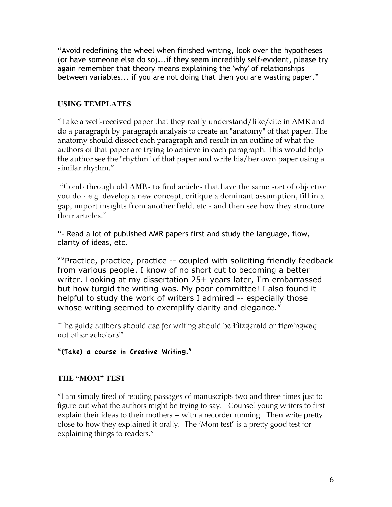"Avoid redefining the wheel when finished writing, look over the hypotheses (or have someone else do so)...if they seem incredibly self-evident, please try again remember that theory means explaining the 'why' of relationships between variables... if you are not doing that then you are wasting paper."

# **USING TEMPLATES**

"Take a well-received paper that they really understand/like/cite in AMR and do a paragraph by paragraph analysis to create an "anatomy" of that paper. The anatomy should dissect each paragraph and result in an outline of what the authors of that paper are trying to achieve in each paragraph. This would help the author see the "rhythm" of that paper and write his/her own paper using a similar rhythm."

 "Comb through old AMRs to find articles that have the same sort of objective you do - e.g. develop a new concept, critique a dominant assumption, fill in a gap, import insights from another field, etc - and then see how they structure their articles."

"- Read a lot of published AMR papers first and study the language, flow, clarity of ideas, etc.

""Practice, practice, practice -- coupled with soliciting friendly feedback from various people. I know of no short cut to becoming a better writer. Looking at my dissertation 25+ years later, I'm embarrassed but how turgid the writing was. My poor committee! I also found it helpful to study the work of writers I admired -- especially those whose writing seemed to exemplify clarity and elegance."

"The guide authors should use for writing should be Fitzgerald or Hemingway, not other scholars!"

### "(Take) a course in Creative Writing."

### **THE "MOM" TEST**

"I am simply tired of reading passages of manuscripts two and three times just to figure out what the authors might be trying to say. Counsel young writers to first explain their ideas to their mothers -- with a recorder running. Then write pretty close to how they explained it orally. The 'Mom test' is a pretty good test for explaining things to readers."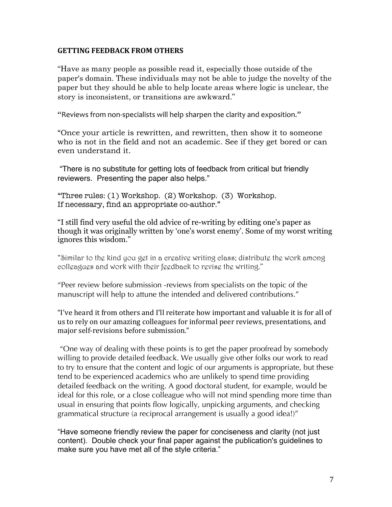#### **GETTING FEEDBACK FROM OTHERS**

"Have as many people as possible read it, especially those outside of the paper's domain. These individuals may not be able to judge the novelty of the paper but they should be able to help locate areas where logic is unclear, the story is inconsistent, or transitions are awkward."

"Reviews from non-specialists will help sharpen the clarity and exposition."

"Once your article is rewritten, and rewritten, then show it to someone who is not in the field and not an academic. See if they get bored or can even understand it.

 "There is no substitute for getting lots of feedback from critical but friendly reviewers. Presenting the paper also helps."

"Three rules: (1) Workshop. (2) Workshop. (3) Workshop. If necessary, find an appropriate co-author."

"I still find very useful the old advice of re-writing by editing one's paper as though it was originally written by 'one's worst enemy'. Some of my worst writing ignores this wisdom."

"Similar to the kind you get in a creative writing class; distribute the work among colleagues and work with their feedback to revise the writing."

"Peer review before submission -reviews from specialists on the topic of the manuscript will help to attune the intended and delivered contributions."

"I've heard it from others and I'll reiterate how important and valuable it is for all of us to rely on our amazing colleagues for informal peer reviews, presentations, and major self-revisions before submission."

 "One way of dealing with these points is to get the paper proofread by somebody willing to provide detailed feedback. We usually give other folks our work to read to try to ensure that the content and logic of our arguments is appropriate, but these tend to be experienced academics who are unlikely to spend time providing detailed feedback on the writing. A good doctoral student, for example, would be ideal for this role, or a close colleague who will not mind spending more time than usual in ensuring that points flow logically, unpicking arguments, and checking grammatical structure (a reciprocal arrangement is usually a good idea!)"

"Have someone friendly review the paper for conciseness and clarity (not just content). Double check your final paper against the publication's guidelines to make sure you have met all of the style criteria."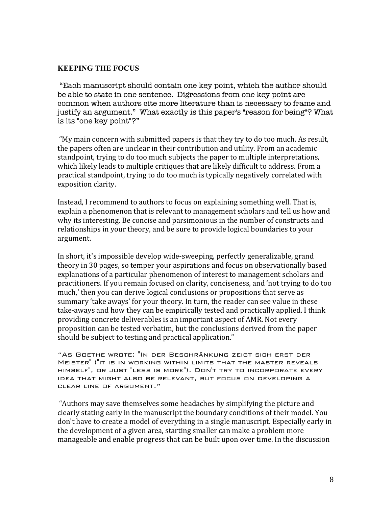### **KEEPING THE FOCUS**

"Each manuscript should contain one key point, which the author should be able to state in one sentence. Digressions from one key point are common when authors cite more literature than is necessary to frame and justify an argument." What exactly is this paper's "reason for being"? What is its "one key point"?"

"My main concern with submitted papers is that they try to do too much. As result, the papers often are unclear in their contribution and utility. From an academic standpoint, trying to do too much subjects the paper to multiple interpretations, which likely leads to multiple critiques that are likely difficult to address. From a practical standpoint, trying to do too much is typically negatively correlated with exposition clarity.

Instead, I recommend to authors to focus on explaining something well. That is, explain a phenomenon that is relevant to management scholars and tell us how and why its interesting. Be concise and parsimonious in the number of constructs and relationships in your theory, and be sure to provide logical boundaries to your argument.

In short, it's impossible develop wide-sweeping, perfectly generalizable, grand theory in 30 pages, so temper your aspirations and focus on observationally based explanations of a particular phenomenon of interest to management scholars and practitioners. If you remain focused on clarity, conciseness, and 'not trying to do too much,' then you can derive logical conclusions or propositions that serve as summary 'take aways' for your theory. In turn, the reader can see value in these take-aways and how they can be empirically tested and practically applied. I think providing concrete deliverables is an important aspect of AMR. Not every proposition can be tested verbatim, but the conclusions derived from the paper should be subject to testing and practical application."

"As Goethe wrote: "In der Beschränkung zeigt sich erst der Meister" ("it is in working within limits that the master reveals himself", or just "less is more"). Don't try to incorporate every idea that might also be relevant, but focus on developing a clear line of argument."

"Authors may save themselves some headaches by simplifying the picture and clearly stating early in the manuscript the boundary conditions of their model. You don't have to create a model of everything in a single manuscript. Especially early in the development of a given area, starting smaller can make a problem more manageable and enable progress that can be built upon over time. In the discussion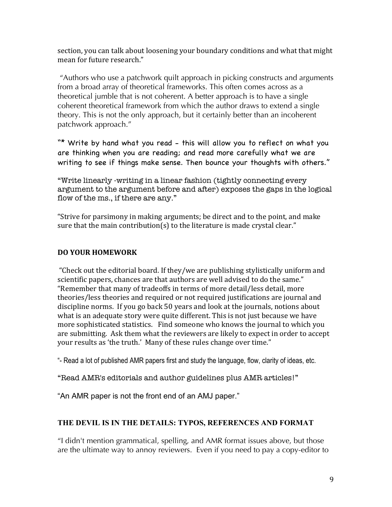section, you can talk about loosening your boundary conditions and what that might mean for future research."

"Authors who use a patchwork quilt approach in picking constructs and arguments from a broad array of theoretical frameworks. This often comes across as a theoretical jumble that is not coherent. A better approach is to have a single coherent theoretical framework from which the author draws to extend a single theory. This is not the only approach, but it certainly better than an incoherent patchwork approach."

"\* Write by hand what you read - this will allow you to reflect on what you are thinking when you are reading; and read more carefully what we are writing to see if things make sense. Then bounce your thoughts with others."

"Write linearly -writing in a linear fashion (tightly connecting every argument to the argument before and after) exposes the gaps in the logical flow of the ms., if there are any."

"Strive for parsimony in making arguments; be direct and to the point, and make sure that the main contribution(s) to the literature is made crystal clear."

# DO YOUR HOMEWORK

"Check out the editorial board. If they/we are publishing stylistically uniform and scientific papers, chances are that authors are well advised to do the same." "Remember that many of tradeoffs in terms of more detail/less detail, more theories/less theories and required or not required justifications are journal and discipline norms. If you go back 50 years and look at the journals, notions about what is an adequate story were quite different. This is not just because we have more sophisticated statistics. Find someone who knows the journal to which you are submitting. Ask them what the reviewers are likely to expect in order to accept your results as 'the truth.' Many of these rules change over time."

"- Read a lot of published AMR papers first and study the language, flow, clarity of ideas, etc.

"Read AMR's editorials and author guidelines plus AMR articles!"

"An AMR paper is not the front end of an AMJ paper."

# **THE DEVIL IS IN THE DETAILS: TYPOS, REFERENCES AND FORMAT**

"I didn't mention grammatical, spelling, and AMR format issues above, but those are the ultimate way to annoy reviewers. Even if you need to pay a copy-editor to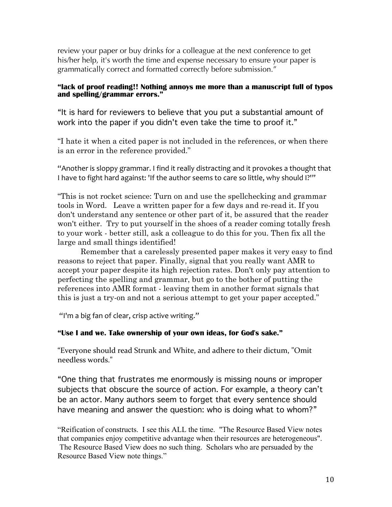review your paper or buy drinks for a colleague at the next conference to get his/her help, it's worth the time and expense necessary to ensure your paper is grammatically correct and formatted correctly before submission."

#### **"lack of proof reading!! Nothing annoys me more than a manuscript full of typos and spelling/grammar errors."**

"It is hard for reviewers to believe that you put a substantial amount of work into the paper if you didn't even take the time to proof it."

"I hate it when a cited paper is not included in the references, or when there is an error in the reference provided."

"Another is sloppy grammar. I find it really distracting and it provokes a thought that I have to fight hard against: 'If the author seems to care so little, why should I?'"

"This is not rocket science: Turn on and use the spellchecking and grammar tools in Word. Leave a written paper for a few days and re-read it. If you don't understand any sentence or other part of it, be assured that the reader won't either. Try to put yourself in the shoes of a reader coming totally fresh to your work - better still, ask a colleague to do this for you. Then fix all the large and small things identified!

Remember that a carelessly presented paper makes it very easy to find reasons to reject that paper. Finally, signal that you really want AMR to accept your paper despite its high rejection rates. Don't only pay attention to perfecting the spelling and grammar, but go to the bother of putting the references into AMR format - leaving them in another format signals that this is just a try-on and not a serious attempt to get your paper accepted."

"I'm a big fan of clear, crisp active writing."

### **"Use I and we. Take ownership of your own ideas, for God's sake."**

"Everyone should read Strunk and White, and adhere to their dictum, "Omit needless words."

"One thing that frustrates me enormously is missing nouns or improper subjects that obscure the source of action. For example, a theory can't be an actor. Many authors seem to forget that every sentence should have meaning and answer the question: who is doing what to whom?"

"Reification of constructs. I see this ALL the time. "The Resource Based View notes that companies enjoy competitive advantage when their resources are heterogeneous". The Resource Based View does no such thing. Scholars who are persuaded by the Resource Based View note things."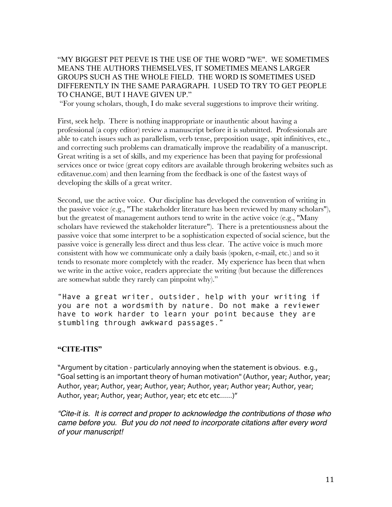"MY BIGGEST PET PEEVE IS THE USE OF THE WORD "WE". WE SOMETIMES MEANS THE AUTHORS THEMSELVES, IT SOMETIMES MEANS LARGER GROUPS SUCH AS THE WHOLE FIELD. THE WORD IS SOMETIMES USED DIFFERENTLY IN THE SAME PARAGRAPH. I USED TO TRY TO GET PEOPLE TO CHANGE, BUT I HAVE GIVEN UP."

"For young scholars, though, I do make several suggestions to improve their writing.

First, seek help. There is nothing inappropriate or inauthentic about having a professional (a copy editor) review a manuscript before it is submitted. Professionals are able to catch issues such as parallelism, verb tense, preposition usage, spit infinitives, etc., and correcting such problems can dramatically improve the readability of a manuscript. Great writing is a set of skills, and my experience has been that paying for professional services once or twice (great copy editors are available through brokering websites such as editavenue.com) and then learning from the feedback is one of the fastest ways of developing the skills of a great writer.

Second, use the active voice. Our discipline has developed the convention of writing in the passive voice (e.g., "The stakeholder literature has been reviewed by many scholars"), but the greatest of management authors tend to write in the active voice (e.g., "Many scholars have reviewed the stakeholder literature"). There is a pretentiousness about the passive voice that some interpret to be a sophistication expected of social science, but the passive voice is generally less direct and thus less clear. The active voice is much more consistent with how we communicate only a daily basis (spoken, e-mail, etc.) and so it tends to resonate more completely with the reader. My experience has been that when we write in the active voice, readers appreciate the writing (but because the differences are somewhat subtle they rarely can pinpoint why)."

"Have a great writer, outsider, help with your writing if you are not a wordsmith by nature. Do not make a reviewer have to work harder to learn your point because they are stumbling through awkward passages."

#### **"CITE-ITIS"**

"Argument by citation - particularly annoying when the statement is obvious. e.g., "Goal setting is an important theory of human motivation" (Author, year; Author, year; Author, year; Author, year; Author, year; Author, year; Author year; Author, year; Author, year; Author, year; Author, year; etc etc......)"

*"Cite-it is. It is correct and proper to acknowledge the contributions of those who came before you. But you do not need to incorporate citations after every word of your manuscript!*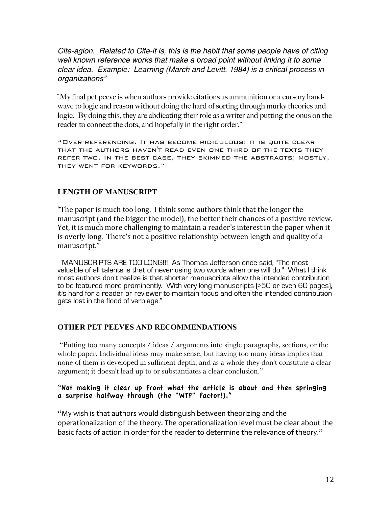*Cite-agion. Related to Cite-it is, this is the habit that some people have of citing well known reference works that make a broad point without linking it to some clear idea. Example: Learning (March and Levitt, 1984) is a critical process in organizations"*

"My final pet peeve is when authors provide citations as ammunition or a cursory handwave to logic and reason without doing the hard of sorting through murky theories and logic. By doing this, they are abdicating their role as a writer and putting the onus on the reader to connect the dots, and hopefully in the right order."

"Over-referencing. It has become ridiculous: it is quite clear that the authors haven't read even one third of the texts they refer two. In the best case, they skimmed the abstracts; mostly, they went for keywords."

# **LENGTH OF MANUSCRIPT**

"The paper is much too long. I think some authors think that the longer the manuscript (and the bigger the model), the better their chances of a positive review. Yet, it is much more challenging to maintain a reader's interest in the paper when it is overly long. There's not a positive relationship between length and quality of a manuscript."

"MANUSCRIPTS ARE TOO LONG!!! As Thomas Jefferson once said, "The most valuable of all talents is that of never using two words when one will do." What I think most authors don't realize is that shorter manuscripts allow the intended contribution to be featured more prominently. With very long manuscripts (>50 or even 60 pages), it's hard for a reader or reviewer to maintain focus and often the intended contribution gets lost in the flood of verbiage."

### **OTHER PET PEEVES AND RECOMMENDATIONS**

"Putting too many concepts / ideas / arguments into single paragraphs, sections, or the whole paper. Individual ideas may make sense, but having too many ideas implies that none of them is developed in sufficient depth, and as a whole they don't constitute a clear argument; it doesn't lead up to or substantiates a clear conclusion."

#### "Not making it clear up front what the article is about and then springing a surprise halfway through (the "WTF" factor!)."

"My wish is that authors would distinguish between theorizing and the operationalization of the theory. The operationalization level must be clear about the basic facts of action in order for the reader to determine the relevance of theory."